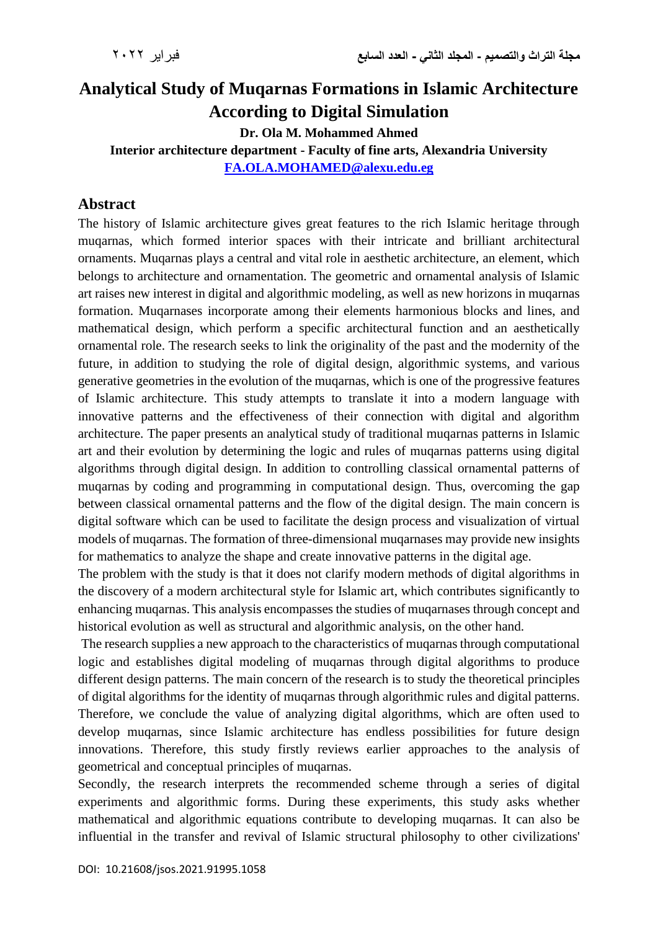## **Analytical Study of Muqarnas Formations in Islamic Architecture According to Digital Simulation**

**Dr. Ola M. Mohammed Ahmed**

**Interior architecture department - Faculty of fine arts, Alexandria University [FA.OLA.MOHAMED@alexu.edu.eg](mailto:FA.OLA.MOHAMED@alexu.edu.eg)**

## **Abstract**

The history of Islamic architecture gives great features to the rich Islamic heritage through muqarnas, which formed interior spaces with their intricate and brilliant architectural ornaments. Muqarnas plays a central and vital role in aesthetic architecture, an element, which belongs to architecture and ornamentation. The geometric and ornamental analysis of Islamic art raises new interest in digital and algorithmic modeling, as well as new horizons in muqarnas formation. Muqarnases incorporate among their elements harmonious blocks and lines, and mathematical design, which perform a specific architectural function and an aesthetically ornamental role. The research seeks to link the originality of the past and the modernity of the future, in addition to studying the role of digital design, algorithmic systems, and various generative geometries in the evolution of the muqarnas, which is one of the progressive features of Islamic architecture. This study attempts to translate it into a modern language with innovative patterns and the effectiveness of their connection with digital and algorithm architecture. The paper presents an analytical study of traditional muqarnas patterns in Islamic art and their evolution by determining the logic and rules of muqarnas patterns using digital algorithms through digital design. In addition to controlling classical ornamental patterns of muqarnas by coding and programming in computational design. Thus, overcoming the gap between classical ornamental patterns and the flow of the digital design. The main concern is digital software which can be used to facilitate the design process and visualization of virtual models of muqarnas. The formation of three-dimensional muqarnases may provide new insights for mathematics to analyze the shape and create innovative patterns in the digital age.

The problem with the study is that it does not clarify modern methods of digital algorithms in the discovery of a modern architectural style for Islamic art, which contributes significantly to enhancing muqarnas. This analysis encompasses the studies of muqarnases through concept and historical evolution as well as structural and algorithmic analysis, on the other hand.

The research supplies a new approach to the characteristics of muqarnas through computational logic and establishes digital modeling of muqarnas through digital algorithms to produce different design patterns. The main concern of the research is to study the theoretical principles of digital algorithms for the identity of muqarnas through algorithmic rules and digital patterns. Therefore, we conclude the value of analyzing digital algorithms, which are often used to develop muqarnas, since Islamic architecture has endless possibilities for future design innovations. Therefore, this study firstly reviews earlier approaches to the analysis of geometrical and conceptual principles of muqarnas.

Secondly, the research interprets the recommended scheme through a series of digital experiments and algorithmic forms. During these experiments, this study asks whether mathematical and algorithmic equations contribute to developing muqarnas. It can also be influential in the transfer and revival of Islamic structural philosophy to other civilizations'